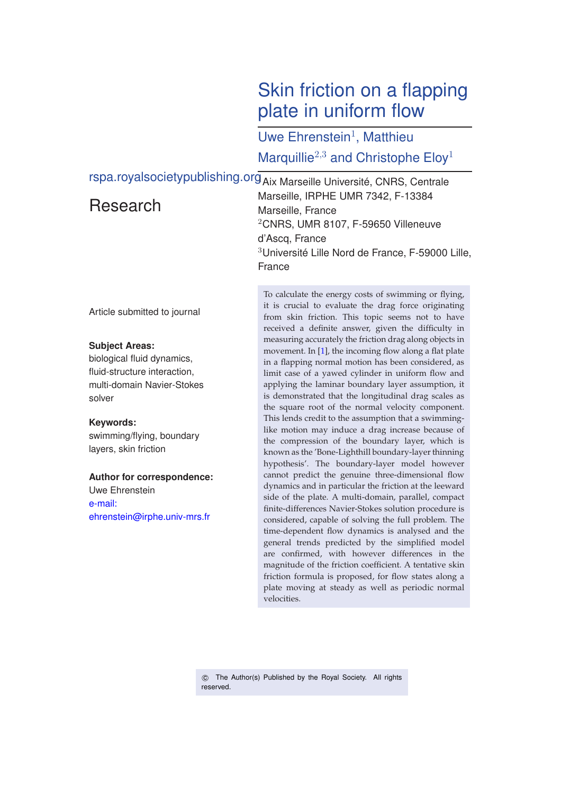# Skin friction on a flapping plate in uniform flow

Uwe Ehrenstein<sup>1</sup>, Matthieu Marquillie<sup>2,3</sup> and Christophe Eloy<sup>1</sup>

rspa.royalsocietypublishing.org<sub>Aix Marseille Université, CNRS, Centrale</sub> Research Marseille, IRPHE UMR 7342, F-13384

Marseille, France <sup>2</sup>CNRS, UMR 8107, F-59650 Villeneuve d'Ascq, France <sup>3</sup>Université Lille Nord de France, F-59000 Lille, France

Article submitted to journal

### **Subject Areas:**

biological fluid dynamics, fluid-structure interaction, multi-domain Navier-Stokes solver

#### **Keywords:**

swimming/flying, boundary layers, skin friction

### **Author for correspondence:**

Uwe Ehrenstein e-mail: ehrenstein@irphe.univ-mrs.fr To calculate the energy costs of swimming or flying, it is crucial to evaluate the drag force originating from skin friction. This topic seems not to have received a definite answer, given the difficulty in measuring accurately the friction drag along objects in movement. In [\[1\]](#page-13-0), the incoming flow along a flat plate in a flapping normal motion has been considered, as limit case of a yawed cylinder in uniform flow and applying the laminar boundary layer assumption, it is demonstrated that the longitudinal drag scales as the square root of the normal velocity component. This lends credit to the assumption that a swimminglike motion may induce a drag increase because of the compression of the boundary layer, which is known as the 'Bone-Lighthill boundary-layer thinning hypothesis'. The boundary-layer model however cannot predict the genuine three-dimensional flow dynamics and in particular the friction at the leeward side of the plate. A multi-domain, parallel, compact finite-differences Navier-Stokes solution procedure is considered, capable of solving the full problem. The time-dependent flow dynamics is analysed and the general trends predicted by the simplified model are confirmed, with however differences in the magnitude of the friction coefficient. A tentative skin friction formula is proposed, for flow states along a plate moving at steady as well as periodic normal velocities.

 c The Author(s) Published by the Royal Society. All rights reserved.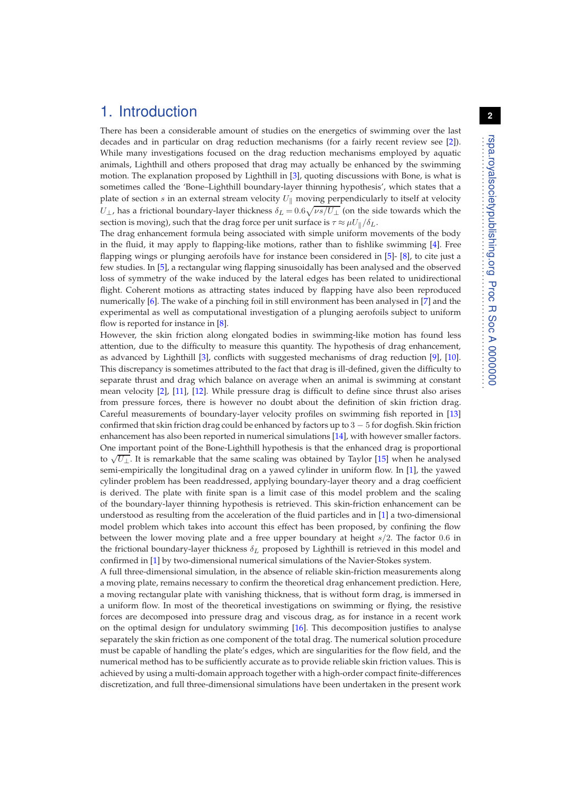### 1. Introduction

There has been a considerable amount of studies on the energetics of swimming over the last decades and in particular on drag reduction mechanisms (for a fairly recent review see [\[2\]](#page-13-1)). While many investigations focused on the drag reduction mechanisms employed by aquatic animals, Lighthill and others proposed that drag may actually be enhanced by the swimming motion. The explanation proposed by Lighthill in [\[3\]](#page-13-2), quoting discussions with Bone, is what is sometimes called the 'Bone–Lighthill boundary-layer thinning hypothesis', which states that a plate of section s in an external stream velocity  $U_{\parallel}$  moving perpendicularly to itself at velocity  $U_{\perp}$ , has a frictional boundary-layer thickness  $\delta_L = 0.6 \sqrt{\nu s/U_{\perp}}$  (on the side towards which the section is moving), such that the drag force per unit surface is  $\tau \approx \mu U_{\parallel}/\delta_L$ .

The drag enhancement formula being associated with simple uniform movements of the body in the fluid, it may apply to flapping-like motions, rather than to fishlike swimming [\[4\]](#page-13-3). Free flapping wings or plunging aerofoils have for instance been considered in [\[5\]](#page-13-4)- [\[8\]](#page-13-5), to cite just a few studies. In [\[5\]](#page-13-4), a rectangular wing flapping sinusoidally has been analysed and the observed loss of symmetry of the wake induced by the lateral edges has been related to unidirectional flight. Coherent motions as attracting states induced by flapping have also been reproduced numerically [\[6\]](#page-13-6). The wake of a pinching foil in still environment has been analysed in [\[7\]](#page-13-7) and the experimental as well as computational investigation of a plunging aerofoils subject to uniform flow is reported for instance in [\[8\]](#page-13-5).

However, the skin friction along elongated bodies in swimming-like motion has found less attention, due to the difficulty to measure this quantity. The hypothesis of drag enhancement, as advanced by Lighthill [\[3\]](#page-13-2), conflicts with suggested mechanisms of drag reduction [\[9\]](#page-13-8), [\[10\]](#page-13-9). This discrepancy is sometimes attributed to the fact that drag is ill-defined, given the difficulty to separate thrust and drag which balance on average when an animal is swimming at constant mean velocity [\[2\]](#page-13-1), [\[11\]](#page-13-10), [\[12\]](#page-13-11). While pressure drag is difficult to define since thrust also arises from pressure forces, there is however no doubt about the definition of skin friction drag. Careful measurements of boundary-layer velocity profiles on swimming fish reported in [\[13\]](#page-13-12) confirmed that skin friction drag could be enhanced by factors up to  $3 - 5$  for dogfish. Skin friction enhancement has also been reported in numerical simulations [\[14\]](#page-13-13), with however smaller factors. One important point of the Bone-Lighthill hypothesis is that the enhanced drag is proportional to  $\sqrt{U_{\perp}}$ . It is remarkable that the same scaling was obtained by Taylor [\[15\]](#page-13-14) when he analysed semi-empirically the longitudinal drag on a yawed cylinder in uniform flow. In [\[1\]](#page-13-0), the yawed cylinder problem has been readdressed, applying boundary-layer theory and a drag coefficient is derived. The plate with finite span is a limit case of this model problem and the scaling of the boundary-layer thinning hypothesis is retrieved. This skin-friction enhancement can be understood as resulting from the acceleration of the fluid particles and in [\[1\]](#page-13-0) a two-dimensional model problem which takes into account this effect has been proposed, by confining the flow between the lower moving plate and a free upper boundary at height  $s/2$ . The factor 0.6 in the frictional boundary-layer thickness  $\delta_L$  proposed by Lighthill is retrieved in this model and confirmed in [\[1\]](#page-13-0) by two-dimensional numerical simulations of the Navier-Stokes system.

A full three-dimensional simulation, in the absence of reliable skin-friction measurements along a moving plate, remains necessary to confirm the theoretical drag enhancement prediction. Here, a moving rectangular plate with vanishing thickness, that is without form drag, is immersed in a uniform flow. In most of the theoretical investigations on swimming or flying, the resistive forces are decomposed into pressure drag and viscous drag, as for instance in a recent work on the optimal design for undulatory swimming [\[16\]](#page-13-15). This decomposition justifies to analyse separately the skin friction as one component of the total drag. The numerical solution procedure must be capable of handling the plate's edges, which are singularities for the flow field, and the numerical method has to be sufficiently accurate as to provide reliable skin friction values. This is achieved by using a multi-domain approach together with a high-order compact finite-differences discretization, and full three-dimensional simulations have been undertaken in the present work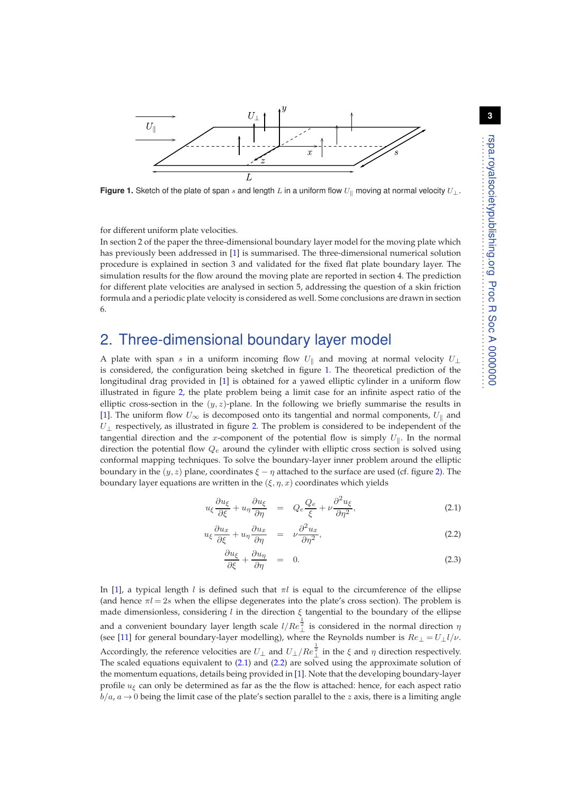

<span id="page-2-0"></span>**Figure 1.** Sketch of the plate of span s and length L in a uniform flow  $U_{\parallel}$  moving at normal velocity  $U_{\perp}$ .

for different uniform plate velocities.

In section 2 of the paper the three-dimensional boundary layer model for the moving plate which has previously been addressed in [\[1\]](#page-13-0) is summarised. The three-dimensional numerical solution procedure is explained in section 3 and validated for the fixed flat plate boundary layer. The simulation results for the flow around the moving plate are reported in section 4. The prediction for different plate velocities are analysed in section 5, addressing the question of a skin friction formula and a periodic plate velocity is considered as well. Some conclusions are drawn in section 6.

# 2. Three-dimensional boundary layer model

A plate with span s in a uniform incoming flow  $U_{\parallel}$  and moving at normal velocity  $U_{\perp}$ is considered, the configuration being sketched in figure [1.](#page-2-0) The theoretical prediction of the longitudinal drag provided in [\[1\]](#page-13-0) is obtained for a yawed elliptic cylinder in a uniform flow illustrated in figure [2,](#page-3-0) the plate problem being a limit case for an infinite aspect ratio of the elliptic cross-section in the  $(y, z)$ -plane. In the following we briefly summarise the results in [\[1\]](#page-13-0). The uniform flow  $U_{\infty}$  is decomposed onto its tangential and normal components,  $U_{\parallel}$  and  $U_{\perp}$  respectively, as illustrated in figure [2.](#page-3-0) The problem is considered to be independent of the tangential direction and the x-component of the potential flow is simply  $U_{\parallel}$ . In the normal direction the potential flow  $Q_e$  around the cylinder with elliptic cross section is solved using conformal mapping techniques. To solve the boundary-layer inner problem around the elliptic boundary in the  $(y, z)$  plane, coordinates  $\xi - \eta$  attached to the surface are used (cf. figure [2\)](#page-3-0). The boundary layer equations are written in the  $(\xi, \eta, x)$  coordinates which yields

<span id="page-2-1"></span>
$$
u_{\xi} \frac{\partial u_{\xi}}{\partial \xi} + u_{\eta} \frac{\partial u_{\xi}}{\partial \eta} = Q_e \frac{Q_e}{\xi} + \nu \frac{\partial^2 u_{\xi}}{\partial \eta^2}, \tag{2.1}
$$

$$
u_{\xi} \frac{\partial u_x}{\partial \xi} + u_{\eta} \frac{\partial u_x}{\partial \eta} = \nu \frac{\partial^2 u_x}{\partial \eta^2}, \qquad (2.2)
$$

$$
\frac{\partial u_{\xi}}{\partial \xi} + \frac{\partial u_{\eta}}{\partial \eta} = 0. \tag{2.3}
$$

In [\[1\]](#page-13-0), a typical length l is defined such that  $\pi l$  is equal to the circumference of the ellipse (and hence  $\pi l = 2s$  when the ellipse degenerates into the plate's cross section). The problem is made dimensionless, considering l in the direction  $\xi$  tangential to the boundary of the ellipse and a convenient boundary layer length scale  $l/Re_{\perp}^{\bar{\tau}}$  is considered in the normal direction  $\eta$ (see [\[11\]](#page-13-10) for general boundary-layer modelling), where the Reynolds number is  $Re_\perp = U_\perp l/\nu$ . Accordingly, the reference velocities are  $U_{\perp}$  and  $U_{\perp}/Re_{\perp}^{\frac{1}{2}}$  in the  $\xi$  and  $\eta$  direction respectively. The scaled equations equivalent to [\(2.1\)](#page-2-1) and [\(2.2\)](#page-2-1) are solved using the approximate solution of the momentum equations, details being provided in [\[1\]](#page-13-0). Note that the developing boundary-layer profile  $u_{\xi}$  can only be determined as far as the the flow is attached: hence, for each aspect ratio  $b/a$ ,  $a \rightarrow 0$  being the limit case of the plate's section parallel to the z axis, there is a limiting angle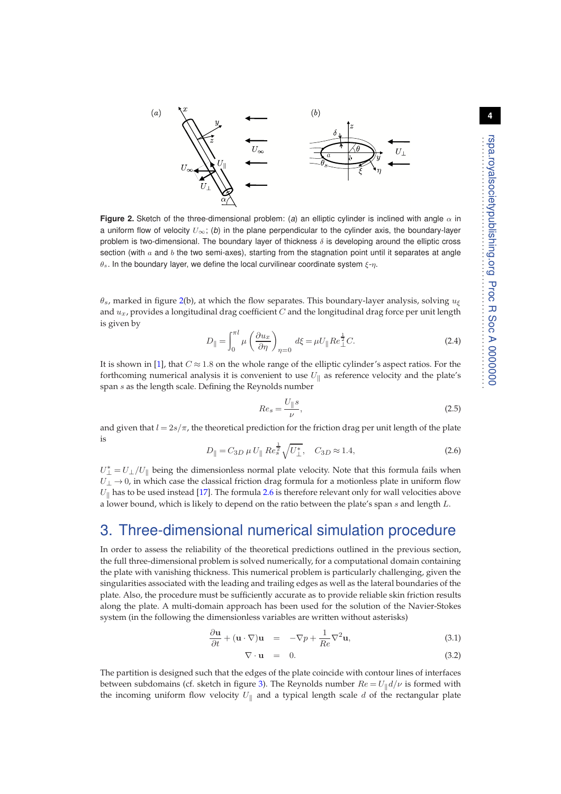**4**



<span id="page-3-0"></span>**Figure 2.** Sketch of the three-dimensional problem: (*a*) an elliptic cylinder is inclined with angle  $\alpha$  in a uniform flow of velocity  $U_{\infty}$ ; (b) in the plane perpendicular to the cylinder axis, the boundary-layer problem is two-dimensional. The boundary layer of thickness  $\delta$  is developing around the elliptic cross section (with  $a$  and  $b$  the two semi-axes), starting from the stagnation point until it separates at angle  $\theta_s$ . In the boundary layer, we define the local curvilinear coordinate system  $\xi$ -η.

 $\theta_s$ , marked in figure [2\(](#page-3-0)b), at which the flow separates. This boundary-layer analysis, solving  $u_{\xi}$ and  $u_x$ , provides a longitudinal drag coefficient C and the longitudinal drag force per unit length is given by

$$
D_{\parallel} = \int_0^{\pi l} \mu \left( \frac{\partial u_x}{\partial \eta} \right)_{\eta=0} d\xi = \mu U_{\parallel} Re_{\perp}^{\frac{1}{2}} C. \tag{2.4}
$$

It is shown in [\[1\]](#page-13-0), that  $C \approx 1.8$  on the whole range of the elliptic cylinder's aspect ratios. For the forthcoming numerical analysis it is convenient to use  $U_{\parallel}$  as reference velocity and the plate's span s as the length scale. Defining the Reynolds number

$$
Re_s = \frac{U_{\parallel}s}{\nu},\tag{2.5}
$$

and given that  $l = 2s/\pi$ , the theoretical prediction for the friction drag per unit length of the plate is 1

<span id="page-3-1"></span>
$$
D_{\parallel} = C_{3D} \,\mu \, U_{\parallel} \, Re_s^{\frac{1}{2}} \sqrt{U_{\perp}^*}, \quad C_{3D} \approx 1.4,\tag{2.6}
$$

 $U_{\perp}^* = U_{\perp}/U_{\parallel}$  being the dimensionless normal plate velocity. Note that this formula fails when  $U_{\perp} \rightarrow 0$ , in which case the classical friction drag formula for a motionless plate in uniform flow  $U_{\parallel}$  has to be used instead [\[17\]](#page-13-16). The formula [2.6](#page-3-1) is therefore relevant only for wall velocities above a lower bound, which is likely to depend on the ratio between the plate's span s and length L.

### 3. Three-dimensional numerical simulation procedure

In order to assess the reliability of the theoretical predictions outlined in the previous section, the full three-dimensional problem is solved numerically, for a computational domain containing the plate with vanishing thickness. This numerical problem is particularly challenging, given the singularities associated with the leading and trailing edges as well as the lateral boundaries of the plate. Also, the procedure must be sufficiently accurate as to provide reliable skin friction results along the plate. A multi-domain approach has been used for the solution of the Navier-Stokes system (in the following the dimensionless variables are written without asterisks)

<span id="page-3-2"></span>
$$
\frac{\partial \mathbf{u}}{\partial t} + (\mathbf{u} \cdot \nabla) \mathbf{u} = -\nabla p + \frac{1}{Re} \nabla^2 \mathbf{u},
$$
\n(3.1)

$$
\nabla \cdot \mathbf{u} = 0. \tag{3.2}
$$

The partition is designed such that the edges of the plate coincide with contour lines of interfaces between subdomains (cf. sketch in figure [3\)](#page-4-0). The Reynolds number  $Re = U_{\parallel} d/\nu$  is formed with the incoming uniform flow velocity  $U_{\parallel}$  and a typical length scale d of the rectangular plate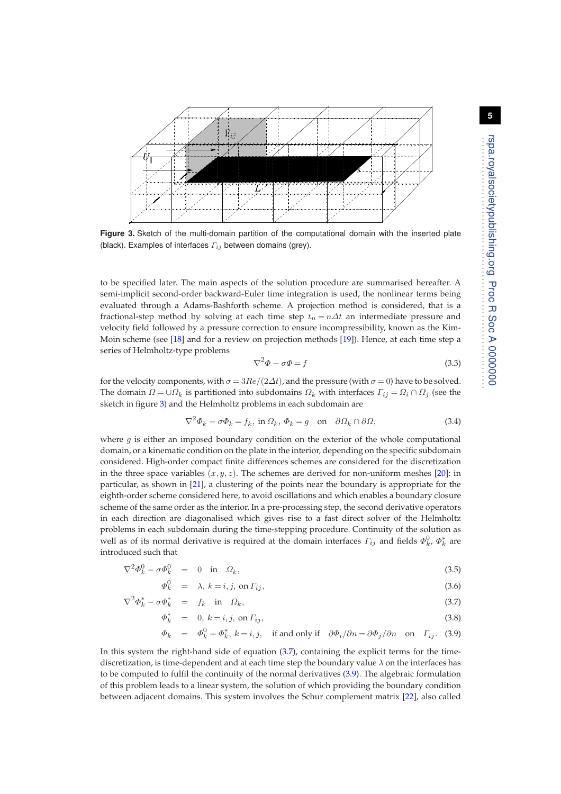**5**



<span id="page-4-0"></span>**Figure 3.** Sketch of the multi-domain partition of the computational domain with the inserted plate (black). Examples of interfaces  $\Gamma_{ij}$  between domains (grey).

to be specified later. The main aspects of the solution procedure are summarised hereafter. A semi-implicit second-order backward-Euler time integration is used, the nonlinear terms being evaluated through a Adams-Bashforth scheme. A projection method is considered, that is a fractional-step method by solving at each time step  $t_n = n\Delta t$  an intermediate pressure and velocity field followed by a pressure correction to ensure incompressibility, known as the Kim-Moin scheme (see [\[18\]](#page-13-17) and for a review on projection methods [\[19\]](#page-13-18)). Hence, at each time step a series of Helmholtz-type problems

$$
\nabla^2 \Phi - \sigma \Phi = f \tag{3.3}
$$

for the velocity components, with  $\sigma = 3Re/(2\Delta t)$ , and the pressure (with  $\sigma = 0$ ) have to be solved. The domain  $\Omega = \cup \Omega_k$  is partitioned into subdomains  $\Omega_k$  with interfaces  $\Gamma_{ij} = \Omega_i \cap \Omega_j$  (see the sketch in figure [3\)](#page-4-0) and the Helmholtz problems in each subdomain are

$$
\nabla^2 \Phi_k - \sigma \Phi_k = f_k, \text{ in } \Omega_k, \Phi_k = g \quad \text{on} \quad \partial \Omega_k \cap \partial \Omega,
$$
\n(3.4)

where  $q$  is either an imposed boundary condition on the exterior of the whole computational domain, or a kinematic condition on the plate in the interior, depending on the specific subdomain considered. High-order compact finite differences schemes are considered for the discretization in the three space variables  $(x, y, z)$ . The schemes are derived for non-uniform meshes [\[20\]](#page-13-19): in particular, as shown in [\[21\]](#page-13-20), a clustering of the points near the boundary is appropriate for the eighth-order scheme considered here, to avoid oscillations and which enables a boundary closure scheme of the same order as the interior. In a pre-processing step, the second derivative operators in each direction are diagonalised which gives rise to a fast direct solver of the Helmholtz problems in each subdomain during the time-stepping procedure. Continuity of the solution as well as of its normal derivative is required at the domain interfaces  $\varGamma_{ij}$  and fields  $\varPhi_k^0$ ,  $\varPhi_k^*$  are introduced such that

<span id="page-4-1"></span>
$$
\nabla^2 \Phi_k^0 - \sigma \Phi_k^0 = 0 \quad \text{in} \quad \Omega_k,\tag{3.5}
$$

$$
\Phi_k^0 = \lambda, \, k = i, j, \text{ on } \Gamma_{ij}, \tag{3.6}
$$

$$
\nabla^2 \Phi_k^* - \sigma \Phi_k^* = f_k \quad \text{in} \quad \Omega_k,\tag{3.7}
$$

$$
\Phi_k^* = 0, k = i, j, \text{ on } \Gamma_{ij}, \tag{3.8}
$$

$$
\Phi_k = \Phi_k^0 + \Phi_k^*, k = i, j, \text{ if and only if } \partial \Phi_i / \partial n = \partial \Phi_j / \partial n \text{ on } \Gamma_{ij}. \tag{3.9}
$$

In this system the right-hand side of equation [\(3.7\)](#page-4-1), containing the explicit terms for the timediscretization, is time-dependent and at each time step the boundary value  $\lambda$  on the interfaces has to be computed to fulfil the continuity of the normal derivatives [\(3.9\)](#page-4-1). The algebraic formulation of this problem leads to a linear system, the solution of which providing the boundary condition between adjacent domains. This system involves the Schur complement matrix [\[22\]](#page-14-0), also called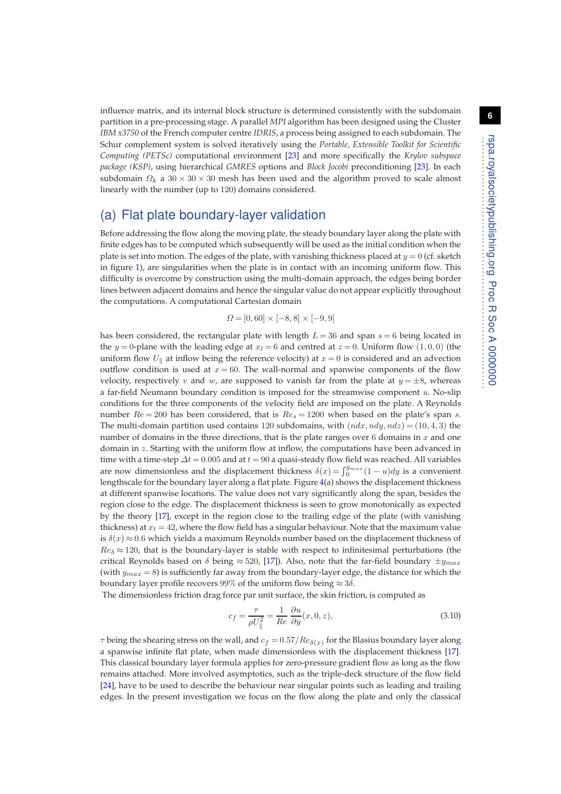influence matrix, and its internal block structure is determined consistently with the subdomain partition in a pre-processing stage. A parallel *MPI* algorithm has been designed using the Cluster *IBM x3750* of the French computer centre *IDRIS*, a process being assigned to each subdomain. The Schur complement system is solved iteratively using the *Portable, Extensible Toolkit for Scientific Computing (PETSc)* computational environment [\[23\]](#page-14-1) and more specifically the *Krylov subspace package (KSP)*, using hierarchical *GMRES* options and *Block Jocobi* preconditioning [\[23\]](#page-14-1). In each subdomain  $\Omega_k$  a 30 × 30 × 30 mesh has been used and the algorithm proved to scale almost linearly with the number (up to 120) domains considered.

### (a) Flat plate boundary-layer validation

Before addressing the flow along the moving plate, the steady boundary layer along the plate with finite edges has to be computed which subsequently will be used as the initial condition when the plate is set into motion. The edges of the plate, with vanishing thickness placed at  $y = 0$  (cf. sketch in figure [1\)](#page-2-0), are singularities when the plate is in contact with an incoming uniform flow. This difficulty is overcome by construction using the multi-domain approach, the edges being border lines between adjacent domains and hence the singular value do not appear explicitly throughout the computations. A computational Cartesian domain

$$
\varOmega = [0, 60] \times [-8, 8] \times [-9, 9]
$$

has been considered, the rectangular plate with length  $L = 36$  and span  $s = 6$  being located in the y = 0-plane with the leading edge at  $x_l = 6$  and centred at  $z = 0$ . Uniform flow (1, 0, 0) (the uniform flow  $U_{\parallel}$  at inflow being the reference velocity) at  $x = 0$  is considered and an advection outflow condition is used at  $x = 60$ . The wall-normal and spanwise components of the flow velocity, respectively v and w, are supposed to vanish far from the plate at  $y = \pm 8$ , whereas a far-field Neumann boundary condition is imposed for the streamwise component  $u$ . No-slip conditions for the three components of the velocity field are imposed on the plate. A Reynolds number  $Re = 200$  has been considered, that is  $Re_s = 1200$  when based on the plate's span s. The multi-domain partition used contains 120 subdomains, with  $(ndx, ndy, ndz) = (10, 4, 3)$  the number of domains in the three directions, that is the plate ranges over 6 domains in  $x$  and one domain in z. Starting with the uniform flow at inflow, the computations have been advanced in time with a time-step  $\Delta t = 0.005$  and at  $t = 90$  a quasi-steady flow field was reached. All variables are now dimensionless and the displacement thickness  $\delta(x) = \int_0^{y_{max}} (1-u) dy$  is a convenient lengthscale for the boundary layer along a flat plate. Figure [4\(](#page-6-0)a) shows the displacement thickness at different spanwise locations. The value does not vary significantly along the span, besides the region close to the edge. The displacement thickness is seen to grow monotonically as expected by the theory [\[17\]](#page-13-16), except in the region close to the trailing edge of the plate (with vanishing thickness) at  $x_t = 42$ , where the flow field has a singular behaviour. Note that the maximum value is  $\delta(x) \approx 0.6$  which yields a maximum Reynolds number based on the displacement thickness of  $Re_{\delta} \approx 120$ , that is the boundary-layer is stable with respect to infinitesimal perturbations (the critical Reynolds based on  $\delta$  being  $\approx$  520, [\[17\]](#page-13-16)). Also, note that the far-field boundary  $\pm y_{max}$ (with  $y_{max} = 8$ ) is sufficiently far away from the boundary-layer edge, the distance for which the boundary layer profile recovers 99% of the uniform flow being  $\approx 3\delta$ .

The dimensionless friction drag force par unit surface, the skin friction, is computed as

$$
c_f = \frac{\tau}{\rho U_{\parallel}^2} = \frac{1}{Re} \frac{\partial u}{\partial y}(x, 0, z),
$$
\n(3.10)

 $\tau$  being the shearing stress on the wall, and  $c_f$  =  $0.57/Re_{\delta(x)}$  for the Blasius boundary layer along a spanwise infinite flat plate, when made dimensionless with the displacement thickness [\[17\]](#page-13-16). This classical boundary layer formula applies for zero-pressure gradient flow as long as the flow remains attached. More involved asymptotics, such as the triple-deck structure of the flow field [\[24\]](#page-14-2), have to be used to describe the behaviour near singular points such as leading and trailing edges. In the present investigation we focus on the flow along the plate and only the classical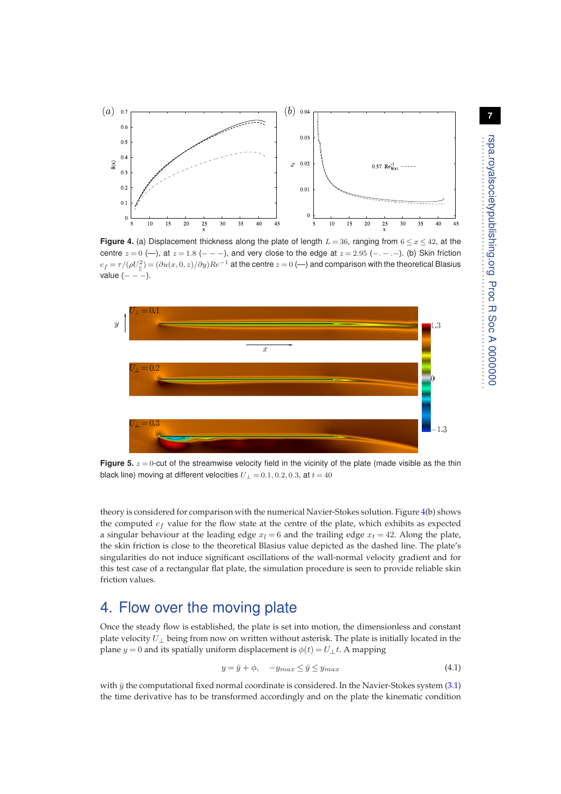

<span id="page-6-0"></span>**Figure 4.** (a) Displacement thickness along the plate of length  $L = 36$ , ranging from  $6 \le x \le 42$ , at the centre  $z = 0$  (-), at  $z = 1.8$  (- - -), and very close to the edge at  $z = 2.95$  (- - - -). (b) Skin friction  $c_f=\tau/(\rho U_\parallel^2)=(\partial u(x,0,z)/\partial y)Re^{-1}$  at the centre  $z=0$  (—) and comparison with the theoretical Blasius value  $(---).$ 



<span id="page-6-1"></span>**Figure 5.**  $z = 0$ -cut of the streamwise velocity field in the vicinity of the plate (made visible as the thin black line) moving at different velocities  $U_1 = 0.1, 0.2, 0.3$ , at  $t = 40$ 

theory is considered for comparison with the numerical Navier-Stokes solution. Figure [4\(](#page-6-0)b) shows the computed  $c_f$  value for the flow state at the centre of the plate, which exhibits as expected a singular behaviour at the leading edge  $x_l = 6$  and the trailing edge  $x_t = 42$ . Along the plate, the skin friction is close to the theoretical Blasius value depicted as the dashed line. The plate's singularities do not induce significant oscillations of the wall-normal velocity gradient and for this test case of a rectangular flat plate, the simulation procedure is seen to provide reliable skin friction values.

# 4. Flow over the moving plate

Once the steady flow is established, the plate is set into motion, the dimensionless and constant plate velocity  $U_{\perp}$  being from now on written without asterisk. The plate is initially located in the plane  $y = 0$  and its spatially uniform displacement is  $\phi(t) = U_{\perp}t$ . A mapping

$$
y = \bar{y} + \phi, \quad -y_{max} \le \bar{y} \le y_{max} \tag{4.1}
$$

with  $\bar{y}$  the computational fixed normal coordinate is considered. In the Navier-Stokes system [\(3.1\)](#page-3-2) the time derivative has to be transformed accordingly and on the plate the kinematic condition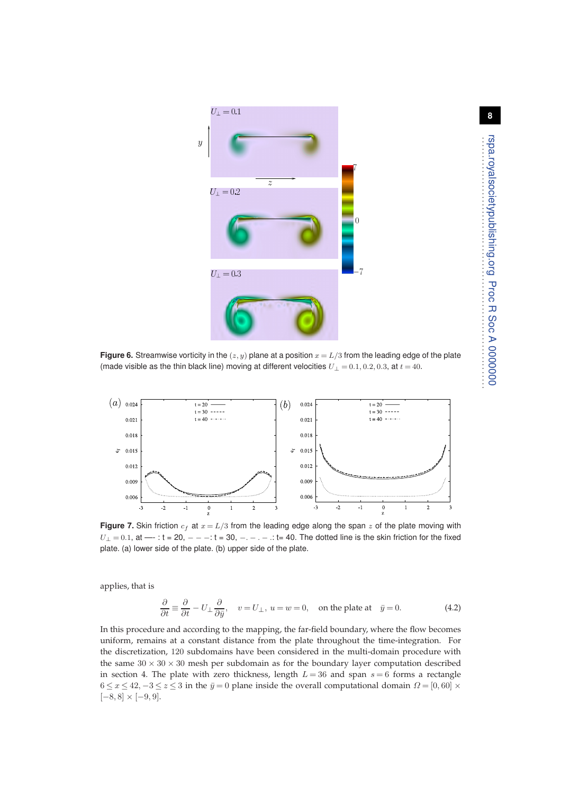

<span id="page-7-0"></span>**Figure 6.** Streamwise vorticity in the  $(z, y)$  plane at a position  $x = L/3$  from the leading edge of the plate (made visible as the thin black line) moving at different velocities  $U_{\perp} = 0.1, 0.2, 0.3$ , at  $t = 40$ .



<span id="page-7-1"></span>**Figure 7.** Skin friction  $c_f$  at  $x = L/3$  from the leading edge along the span z of the plate moving with  $U_1 = 0.1$ , at —  $: t = 20$ ,  $- - -t$   $: t = 30$ ,  $- - - -t$   $: t = 40$ . The dotted line is the skin friction for the fixed plate. (a) lower side of the plate. (b) upper side of the plate.

applies, that is

$$
\frac{\partial}{\partial t} \equiv \frac{\partial}{\partial t} - U_{\perp} \frac{\partial}{\partial \bar{y}}, \quad v = U_{\perp}, \ u = w = 0, \quad \text{on the plate at} \quad \bar{y} = 0.
$$
 (4.2)

In this procedure and according to the mapping, the far-field boundary, where the flow becomes uniform, remains at a constant distance from the plate throughout the time-integration. For the discretization, 120 subdomains have been considered in the multi-domain procedure with the same  $30 \times 30 \times 30$  mesh per subdomain as for the boundary layer computation described in section 4. The plate with zero thickness, length  $L = 36$  and span  $s = 6$  forms a rectangle  $6 \le x \le 42, -3 \le z \le 3$  in the  $\bar{y} = 0$  plane inside the overall computational domain  $\Omega = [0, 60] \times$  $[-8, 8] \times [-9, 9].$ 

. . . . . . . . . . . . . . . . . . . . . . . . . . . . . . . . . . . . . . . . . . . . . . . . . . .

. . . . . . . . . . . . . . . . .

rspa.royalsocietypublishing.org Proc R Soc A 0000000

rspa.royalsocietypublishing.org Proc R Soc A 00000000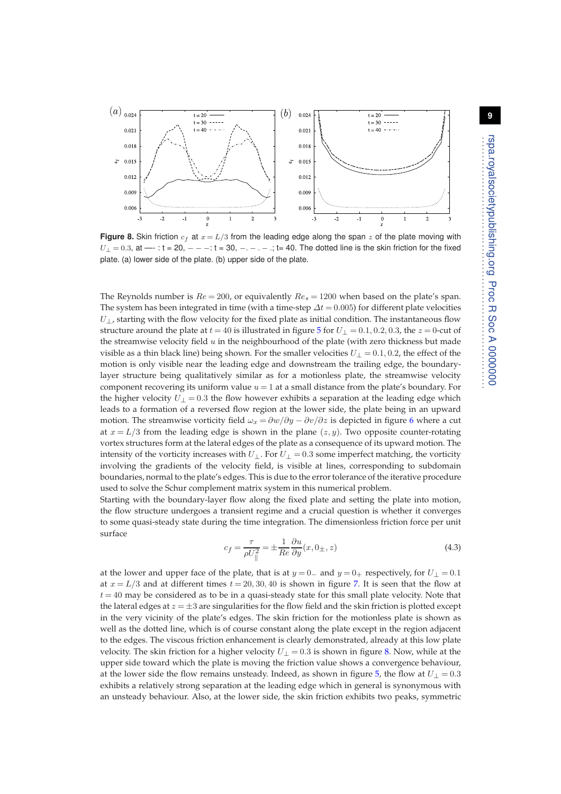

<span id="page-8-0"></span>**Figure 8.** Skin friction  $c_f$  at  $x = L/3$  from the leading edge along the span z of the plate moving with  $U_{\perp} = 0.3$ , at — $\cdot$ : t = 20,  $- - \cdot$ : t = 30,  $- - \cdot$  ..., t = 40. The dotted line is the skin friction for the fixed plate. (a) lower side of the plate. (b) upper side of the plate.

The Reynolds number is  $Re = 200$ , or equivalently  $Re<sub>s</sub> = 1200$  when based on the plate's span. The system has been integrated in time (with a time-step  $\Delta t = 0.005$ ) for different plate velocities  $U_{\perp}$ , starting with the flow velocity for the fixed plate as initial condition. The instantaneous flow structure around the plate at  $t = 40$  is illustrated in figure [5](#page-6-1) for  $U_1 = 0.1, 0.2, 0.3$ , the  $z = 0$ -cut of the streamwise velocity field  $u$  in the neighbourhood of the plate (with zero thickness but made visible as a thin black line) being shown. For the smaller velocities  $U_{\perp} = 0.1, 0.2$ , the effect of the motion is only visible near the leading edge and downstream the trailing edge, the boundarylayer structure being qualitatively similar as for a motionless plate, the streamwise velocity component recovering its uniform value  $u = 1$  at a small distance from the plate's boundary. For the higher velocity  $U_1 = 0.3$  the flow however exhibits a separation at the leading edge which leads to a formation of a reversed flow region at the lower side, the plate being in an upward motion. The streamwise vorticity field  $\omega_x = \frac{\partial w}{\partial y} - \frac{\partial v}{\partial z}$  is depicted in figure [6](#page-7-0) where a cut at  $x = L/3$  from the leading edge is shown in the plane  $(z, y)$ . Two opposite counter-rotating vortex structures form at the lateral edges of the plate as a consequence of its upward motion. The intensity of the vorticity increases with  $U_{\perp}$ . For  $U_{\perp} = 0.3$  some imperfect matching, the vorticity involving the gradients of the velocity field, is visible at lines, corresponding to subdomain boundaries, normal to the plate's edges. This is due to the error tolerance of the iterative procedure used to solve the Schur complement matrix system in this numerical problem.

Starting with the boundary-layer flow along the fixed plate and setting the plate into motion, the flow structure undergoes a transient regime and a crucial question is whether it converges to some quasi-steady state during the time integration. The dimensionless friction force per unit surface

$$
c_f = \frac{\tau}{\rho U_{\parallel}^2} = \pm \frac{1}{Re} \frac{\partial u}{\partial y}(x, 0_\pm, z) \tag{4.3}
$$

at the lower and upper face of the plate, that is at  $y = 0$  and  $y = 0$ + respectively, for  $U_{\perp} = 0.1$ at  $x = L/3$  and at different times  $t = 20, 30, 40$  is shown in figure [7.](#page-7-1) It is seen that the flow at  $t = 40$  may be considered as to be in a quasi-steady state for this small plate velocity. Note that the lateral edges at  $z = \pm 3$  are singularities for the flow field and the skin friction is plotted except in the very vicinity of the plate's edges. The skin friction for the motionless plate is shown as well as the dotted line, which is of course constant along the plate except in the region adjacent to the edges. The viscous friction enhancement is clearly demonstrated, already at this low plate velocity. The skin friction for a higher velocity  $U_{\perp} = 0.3$  is shown in figure [8.](#page-8-0) Now, while at the upper side toward which the plate is moving the friction value shows a convergence behaviour, at the lower side the flow remains unsteady. Indeed, as shown in figure [5,](#page-6-1) the flow at  $U_{\perp} = 0.3$ exhibits a relatively strong separation at the leading edge which in general is synonymous with an unsteady behaviour. Also, at the lower side, the skin friction exhibits two peaks, symmetric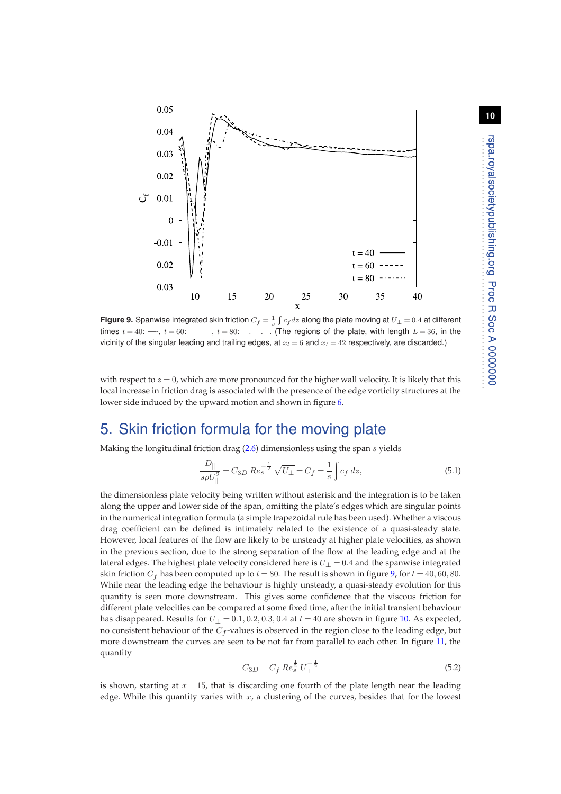

<span id="page-9-0"></span>**Figure 9.** Spanwise integrated skin friction  $C_f = \frac{1}{s} \int c_f dz$  along the plate moving at  $U_\perp = 0.4$  at different times  $t = 40$ : —-,  $t = 60$ : — – ,  $t = 80$ : — – ... (The regions of the plate, with length  $L = 36$ , in the vicinity of the singular leading and trailing edges, at  $x_l = 6$  and  $x_t = 42$  respectively, are discarded.)

with respect to  $z = 0$ , which are more pronounced for the higher wall velocity. It is likely that this local increase in friction drag is associated with the presence of the edge vorticity structures at the lower side induced by the upward motion and shown in figure [6.](#page-7-0)

### 5. Skin friction formula for the moving plate

Making the longitudinal friction drag [\(2.6\)](#page-3-1) dimensionless using the span s yields

<span id="page-9-1"></span>
$$
\frac{D_{\parallel}}{s\rho U_{\parallel}^2} = C_{3D} \operatorname{Re}_{s}^{-\frac{1}{2}} \sqrt{U_{\perp}} = C_{f} = \frac{1}{s} \int c_{f} \, dz,\tag{5.1}
$$

the dimensionless plate velocity being written without asterisk and the integration is to be taken along the upper and lower side of the span, omitting the plate's edges which are singular points in the numerical integration formula (a simple trapezoidal rule has been used). Whether a viscous drag coefficient can be defined is intimately related to the existence of a quasi-steady state. However, local features of the flow are likely to be unsteady at higher plate velocities, as shown in the previous section, due to the strong separation of the flow at the leading edge and at the lateral edges. The highest plate velocity considered here is  $U_1 = 0.4$  and the spanwise integrated skin friction  $C_f$  has been computed up to  $t = 80$ . The result is shown in figure [9,](#page-9-0) for  $t = 40, 60, 80$ . While near the leading edge the behaviour is highly unsteady, a quasi-steady evolution for this quantity is seen more downstream. This gives some confidence that the viscous friction for different plate velocities can be compared at some fixed time, after the initial transient behaviour has disappeared. Results for  $U_{\perp} = 0.1, 0.2, 0.3, 0.4$  at  $t = 40$  are shown in figure [10.](#page-10-0) As expected, no consistent behaviour of the  $C_f$ -values is observed in the region close to the leading edge, but more downstream the curves are seen to be not far from parallel to each other. In figure [11,](#page-10-1) the quantity

$$
C_{3D} = C_f \, Re_s^{\frac{1}{2}} \, U_{\perp}^{-\frac{1}{2}} \tag{5.2}
$$

is shown, starting at  $x = 15$ , that is discarding one fourth of the plate length near the leading edge. While this quantity varies with  $x$ , a clustering of the curves, besides that for the lowest . . . . . . . . . . . . . . . . . . . . . . . . . . . . . . . . . . . . . . . . . . . . . . . . . . .

. . . . . . . . . . . . . . . . .

rspa.royalsocietypublishing.org Proc R Soc A 0000000

rspa.royalsocietypublishing.org Proc R Soc A 00000000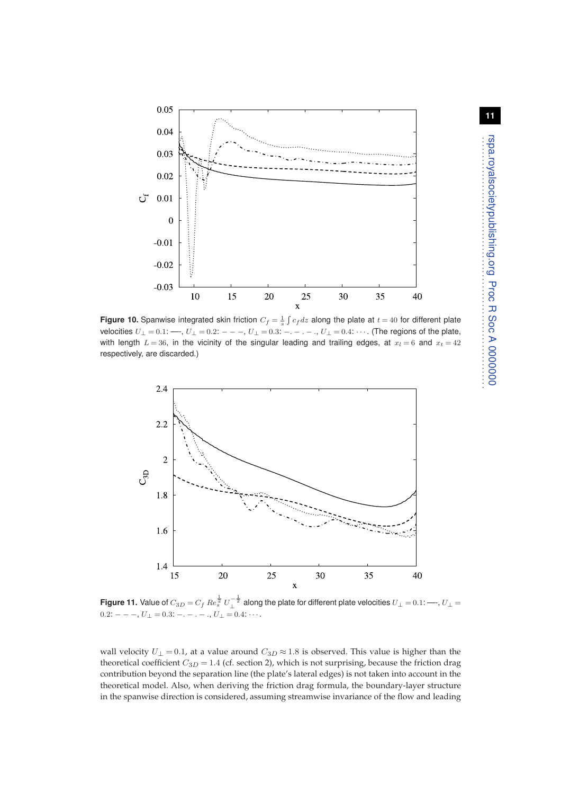

<span id="page-10-0"></span>**Figure 10.** Spanwise integrated skin friction  $C_f = \frac{1}{s} \int c_f dz$  along the plate at  $t = 40$  for different plate velocities  $U_{\perp} = 0.1$ :  $\longrightarrow$ ,  $U_{\perp} = 0.2$ :  $- - -$ ,  $U_{\perp} = 0.3$ :  $- -$ .  $-$ .,  $U_{\perp} = 0.4$ :  $\cdots$ . (The regions of the plate, with length  $L = 36$ , in the vicinity of the singular leading and trailing edges, at  $x_l = 6$  and  $x_t = 42$ respectively, are discarded.)



<span id="page-10-1"></span>**Figure 11.** Value of  $C_{3D}=C_f$   $Re_s^{\frac{1}{2}}$   $U_\perp^{-\frac{1}{2}}$  along the plate for different plate velocities  $U_\perp=0.1$ : —-,  $U_\perp=$  $0.2:$   $--$ ,  $U_{\perp} = 0.3:$   $-$ .  $-$ .,  $U_{\perp} = 0.4:$   $\cdots$ .

wall velocity  $U_{\perp} = 0.1$ , at a value around  $C_{3D} \approx 1.8$  is observed. This value is higher than the theoretical coefficient  $C_{3D} = 1.4$  (cf. section 2), which is not surprising, because the friction drag contribution beyond the separation line (the plate's lateral edges) is not taken into account in the theoretical model. Also, when deriving the friction drag formula, the boundary-layer structure in the spanwise direction is considered, assuming streamwise invariance of the flow and leading . . . . . . . . . . . . . . . . . . . . . . . . . . . . . . . . . . . . . . . . . . . . . . . . . . .

. . . . . . . . . . . . . . . . .

rspa.royalsocietypublishing.org Proc R Soc A 0000000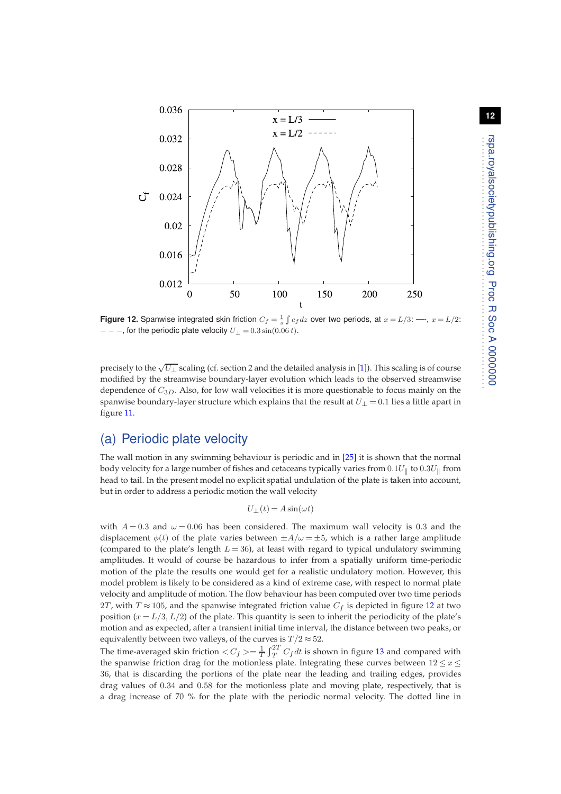

<span id="page-11-0"></span>**Figure 12.** Spanwise integrated skin friction  $C_f = \frac{1}{s} \int c_f dz$  over two periods, at  $x = L/3$ :  $\longrightarrow$ ,  $x = L/2$ :  $-$  − −, for the periodic plate velocity  $U_{\perp} = 0.3 \sin(0.06 t)$ .

precisely to the  $\sqrt{U_{\perp}}$  scaling (cf. section 2 and the detailed analysis in [\[1\]](#page-13-0)). This scaling is of course modified by the streamwise boundary-layer evolution which leads to the observed streamwise dependence of  $C_{3D}$ . Also, for low wall velocities it is more questionable to focus mainly on the spanwise boundary-layer structure which explains that the result at  $U_{\perp} = 0.1$  lies a little apart in figure [11.](#page-10-1)

### (a) Periodic plate velocity

The wall motion in any swimming behaviour is periodic and in [\[25\]](#page-14-3) it is shown that the normal body velocity for a large number of fishes and cetaceans typically varies from  $0.1 U_{\parallel}$  to  $0.3 U_{\parallel}$  from head to tail. In the present model no explicit spatial undulation of the plate is taken into account, but in order to address a periodic motion the wall velocity

$$
U_{\perp}(t) = A \sin(\omega t)
$$

with  $A = 0.3$  and  $\omega = 0.06$  has been considered. The maximum wall velocity is 0.3 and the displacement  $\phi(t)$  of the plate varies between  $\pm A/\omega = \pm 5$ , which is a rather large amplitude (compared to the plate's length  $L = 36$ ), at least with regard to typical undulatory swimming amplitudes. It would of course be hazardous to infer from a spatially uniform time-periodic motion of the plate the results one would get for a realistic undulatory motion. However, this model problem is likely to be considered as a kind of extreme case, with respect to normal plate velocity and amplitude of motion. The flow behaviour has been computed over two time periods 2T, with  $T \approx 105$ , and the spanwise integrated friction value  $C_f$  is depicted in figure [12](#page-11-0) at two position  $(x = L/3, L/2)$  of the plate. This quantity is seen to inherit the periodicity of the plate's motion and as expected, after a transient initial time interval, the distance between two peaks, or equivalently between two valleys, of the curves is  $T/2 \approx 52$ .

The time-averaged skin friction  $\langle C_f \rangle = \frac{1}{T} \int_T^{2T} C_f dt$  is shown in figure [13](#page-12-0) and compared with the spanwise friction drag for the motionless plate. Integrating these curves between  $12 \le x \le$ 36, that is discarding the portions of the plate near the leading and trailing edges, provides drag values of 0.34 and 0.58 for the motionless plate and moving plate, respectively, that is a drag increase of 70 % for the plate with the periodic normal velocity. The dotted line in . . . . . . . . . . . . . . . . . . . . . . . . . . . . . . . . . . . . . . . . . . . . . . . . . . .

. . . . . . . . . . . . . . . . .

rspa.royalsocietypublishing.org Proc R Soc A 0000000

spa.royalsocietypublishing.org Proc R Soc A 00000000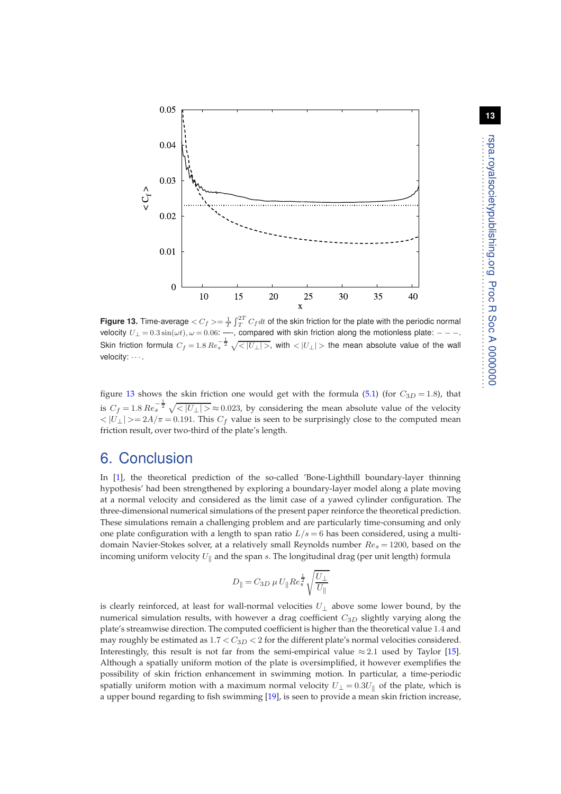

<span id="page-12-0"></span>Figure 13. Time-average  $<$   $C_f$   $>=$   $\frac{1}{T}\int_{T}^{2T}C_fdt$  of the skin friction for the plate with the periodic normal velocity  $U_{\perp} = 0.3 \sin(\omega t), \omega = 0.06$ : —-, compared with skin friction along the motionless plate: - - -.<br>Skin friction formula  $C_f = 1.8$   $Re_s^{-\frac{1}{2}} \sqrt{<|U_{\perp}|>}$ , with  $<|U_{\perp}|>$  the mean absolute value of the wall velocity:  $\cdots$ .

figure [13](#page-12-0) shows the skin friction one would get with the formula [\(5.1\)](#page-9-1) (for  $C_{3D} = 1.8$ ), that is  $C_f = 1.8$   $Re_s^{-\frac{1}{2}} \sqrt{\langle |U_\perp| \rangle} \approx 0.023$ , by considering the mean absolute value of the velocity  $\langle |U_\perp|\rangle = 2A/\pi = 0.191$ . This  $C_f$  value is seen to be surprisingly close to the computed mean friction result, over two-third of the plate's length.

# 6. Conclusion

In [\[1\]](#page-13-0), the theoretical prediction of the so-called 'Bone-Lighthill boundary-layer thinning hypothesis' had been strengthened by exploring a boundary-layer model along a plate moving at a normal velocity and considered as the limit case of a yawed cylinder configuration. The three-dimensional numerical simulations of the present paper reinforce the theoretical prediction. These simulations remain a challenging problem and are particularly time-consuming and only one plate configuration with a length to span ratio  $L/s = 6$  has been considered, using a multidomain Navier-Stokes solver, at a relatively small Reynolds number  $Re_s = 1200$ , based on the incoming uniform velocity  $U_{\parallel}$  and the span s. The longitudinal drag (per unit length) formula

$$
D_\parallel=C_{3D}~\mu~U_\parallel Re_s^{\frac{1}{2}}\sqrt{\frac{U_\perp}{U_\parallel}}
$$

is clearly reinforced, at least for wall-normal velocities  $U_{\perp}$  above some lower bound, by the numerical simulation results, with however a drag coefficient  $C_{3D}$  slightly varying along the plate's streamwise direction. The computed coefficient is higher than the theoretical value 1.4 and may roughly be estimated as  $1.7 < C_{3D} < 2$  for the different plate's normal velocities considered. Interestingly, this result is not far from the semi-empirical value  $\approx 2.1$  used by Taylor [\[15\]](#page-13-14). Although a spatially uniform motion of the plate is oversimplified, it however exemplifies the possibility of skin friction enhancement in swimming motion. In particular, a time-periodic spatially uniform motion with a maximum normal velocity  $U_{\perp} = 0.3U_{\parallel}$  of the plate, which is a upper bound regarding to fish swimming [\[19\]](#page-13-18), is seen to provide a mean skin friction increase,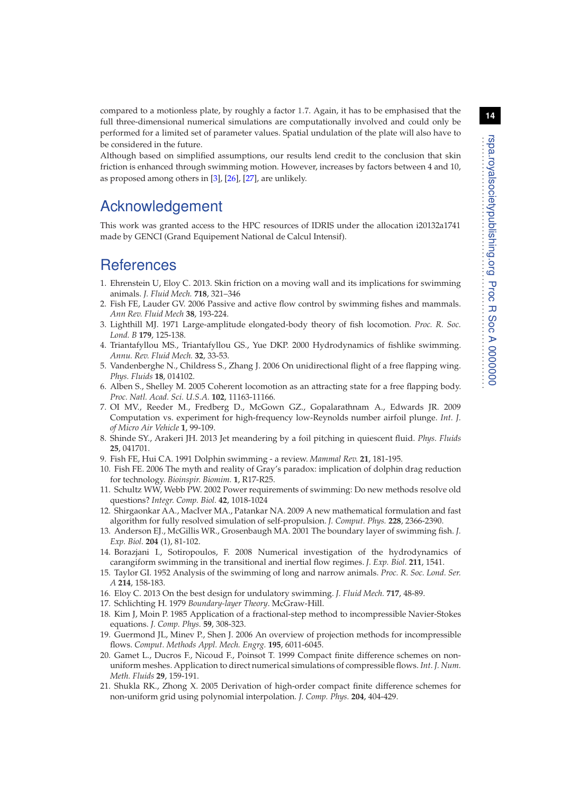**14**

compared to a motionless plate, by roughly a factor 1.7. Again, it has to be emphasised that the full three-dimensional numerical simulations are computationally involved and could only be performed for a limited set of parameter values. Spatial undulation of the plate will also have to be considered in the future.

Although based on simplified assumptions, our results lend credit to the conclusion that skin friction is enhanced through swimming motion. However, increases by factors between 4 and 10, as proposed among others in [\[3\]](#page-13-2), [\[26\]](#page-14-4), [\[27\]](#page-14-5), are unlikely.

# Acknowledgement

This work was granted access to the HPC resources of IDRIS under the allocation i20132a1741 made by GENCI (Grand Equipement National de Calcul Intensif).

### <span id="page-13-0"></span>**References**

- 1. Ehrenstein U, Eloy C. 2013. Skin friction on a moving wall and its implications for swimming animals. *J. Fluid Mech.* **718**, 321–346
- <span id="page-13-1"></span>2. Fish FE, Lauder GV. 2006 Passive and active flow control by swimming fishes and mammals. *Ann Rev. Fluid Mech* **38**, 193-224.
- <span id="page-13-2"></span>3. Lighthill MJ. 1971 Large-amplitude elongated-body theory of fish locomotion. *Proc. R. Soc. Lond. B* **179**, 125-138.
- <span id="page-13-3"></span>4. Triantafyllou MS., Triantafyllou GS., Yue DKP. 2000 Hydrodynamics of fishlike swimming. *Annu. Rev. Fluid Mech.* **32**, 33-53.
- <span id="page-13-4"></span>5. Vandenberghe N., Childress S., Zhang J. 2006 On unidirectional flight of a free flapping wing. *Phys. Fluids* **18**, 014102.
- <span id="page-13-6"></span>6. Alben S., Shelley M. 2005 Coherent locomotion as an attracting state for a free flapping body. *Proc. Natl. Acad. Sci. U.S.A.* **102**, 11163-11166.
- <span id="page-13-7"></span>7. OI MV., Reeder M., Fredberg D., McGown GZ., Gopalarathnam A., Edwards JR. 2009 Computation vs. experiment for high-frequency low-Reynolds number airfoil plunge. *Int. J. of Micro Air Vehicle* **1**, 99-109.
- <span id="page-13-5"></span>8. Shinde SY., Arakeri JH. 2013 Jet meandering by a foil pitching in quiescent fluid. *Phys. Fluids* **25**, 041701.
- <span id="page-13-9"></span><span id="page-13-8"></span>9. Fish FE, Hui CA. 1991 Dolphin swimming - a review. *Mammal Rev.* **21**, 181-195.
- 10. Fish FE. 2006 The myth and reality of Gray's paradox: implication of dolphin drag reduction for technology. *Bioinspir. Biomim.* **1**, R17-R25.
- <span id="page-13-10"></span>11. Schultz WW, Webb PW. 2002 Power requirements of swimming: Do new methods resolve old questions? *Integr. Comp. Biol.* **42**, 1018-1024
- <span id="page-13-11"></span>12. Shirgaonkar AA., MacIver MA., Patankar NA. 2009 A new mathematical formulation and fast algorithm for fully resolved simulation of self-propulsion. *J. Comput. Phys.* **228**, 2366-2390.
- <span id="page-13-12"></span>13. Anderson EJ., McGillis WR., Grosenbaugh MA. 2001 The boundary layer of swimming fish. *J. Exp. Biol.* **204** (1), 81-102.
- <span id="page-13-13"></span>14. Borazjani I., Sotiropoulos, F. 2008 Numerical investigation of the hydrodynamics of carangiform swimming in the transitional and inertial flow regimes. *J. Exp. Biol.* **211**, 1541.
- <span id="page-13-14"></span>15. Taylor GI. 1952 Analysis of the swimming of long and narrow animals. *Proc. R. Soc. Lond. Ser. A* **214**, 158-183.
- <span id="page-13-16"></span><span id="page-13-15"></span>16. Eloy C. 2013 On the best design for undulatory swimming. *J. Fluid Mech.* **717**, 48-89.
- <span id="page-13-17"></span>17. Schlichting H. 1979 *Boundary-layer Theory*. McGraw-Hill.
- 18. Kim J, Moin P. 1985 Application of a fractional-step method to incompressible Navier-Stokes equations. *J. Comp. Phys.* **59**, 308-323.
- <span id="page-13-18"></span>19. Guermond JL, Minev P., Shen J. 2006 An overview of projection methods for incompressible flows. *Comput. Methods Appl. Mech. Engrg.* **195**, 6011-6045.
- <span id="page-13-19"></span>20. Gamet L., Ducros F., Nicoud F., Poinsot T. 1999 Compact finite difference schemes on nonuniform meshes. Application to direct numerical simulations of compressible flows. *Int. J. Num. Meth. Fluids* **29**, 159-191.
- <span id="page-13-20"></span>21. Shukla RK., Zhong X. 2005 Derivation of high-order compact finite difference schemes for non-uniform grid using polynomial interpolation. *J. Comp. Phys.* **204**, 404-429.